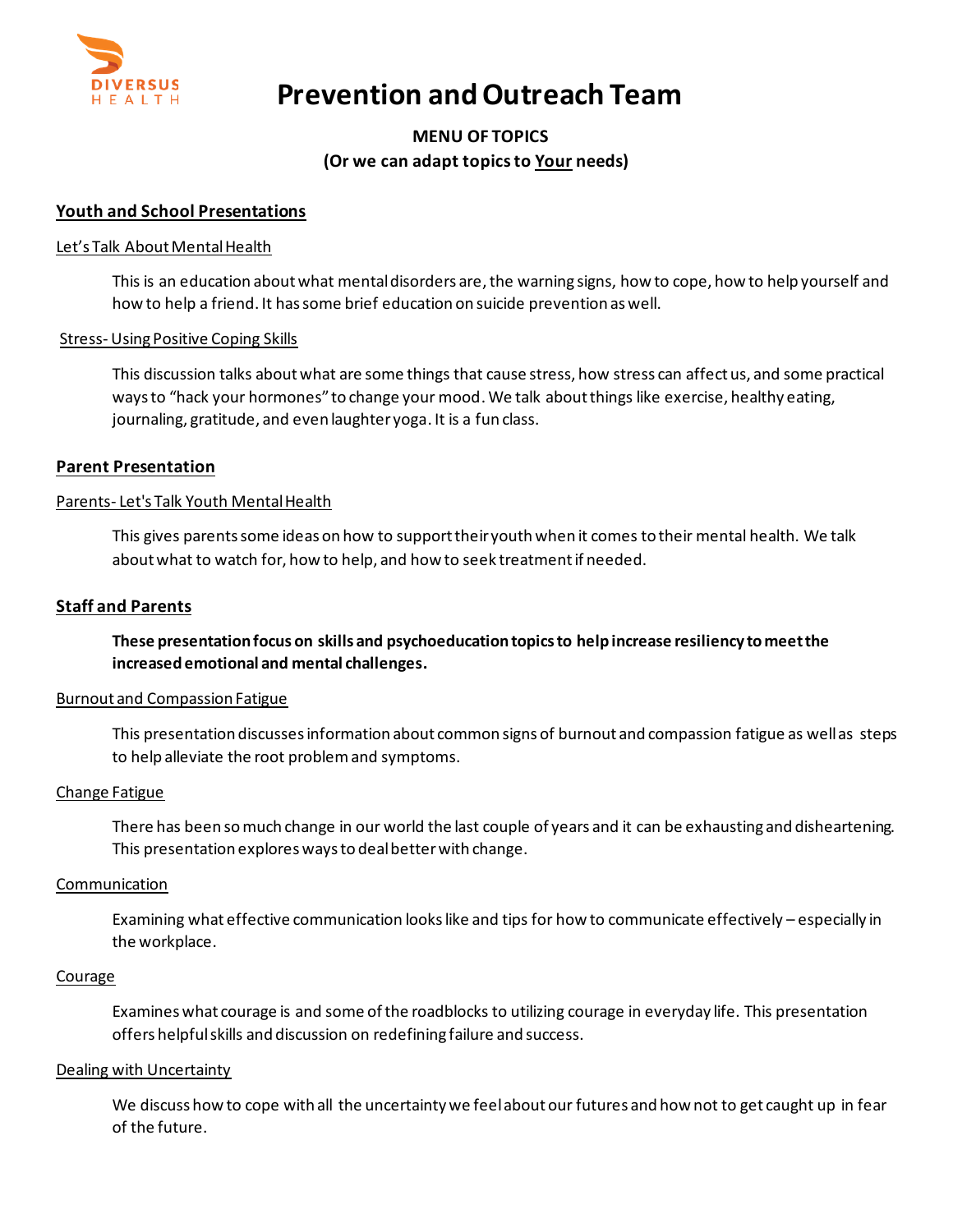

# **Prevention and Outreach Team**

## **MENU OF TOPICS (Or we can adapt topics to Your needs)**

## **Youth and School Presentations**

## Let's Talk About Mental Health

This is an education aboutwhat mental disorders are, the warning signs, how to cope, how to help yourself and how to help a friend. It has some brief education on suicide prevention as well.

## Stress- Using Positive Coping Skills

This discussion talks about what are some things that cause stress, how stress can affect us, and some practical ways to "hack your hormones" to change your mood. We talk about things like exercise, healthy eating, journaling, gratitude, and even laughter yoga. It is a fun class.

## **Parent Presentation**

## Parents- Let's Talk Youth Mental Health

This gives parents some ideas on how to support their youth when it comes to their mental health. We talk about what to watch for, how to help, and how to seek treatment if needed.

#### **Staff and Parents**

**These presentation focus on skills and psychoeducation topics to help increase resiliency to meet the increased emotional and mental challenges.**

#### Burnout and Compassion Fatigue

This presentation discusses information about common signs of burnout and compassion fatigue as well as steps to help alleviate the root problem and symptoms.

## Change Fatigue

There has been so much change in our world the last couple of years and it can be exhausting and disheartening. This presentation explores ways to deal better with change.

#### **Communication**

Examining what effective communication looks like and tips for how to communicate effectively – especially in the workplace.

#### Courage

Examines what courage is and some of the roadblocks to utilizing courage in everyday life. This presentation offers helpful skills and discussion on redefining failure and success.

#### Dealing with Uncertainty

We discuss how to cope with all the uncertainty we feel about our futures and how not to get caught up in fear of the future.